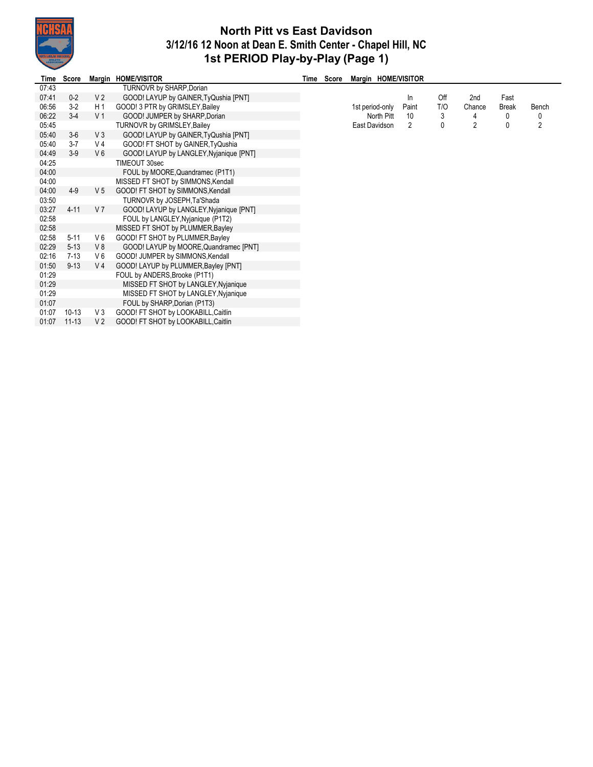

## **North Pitt vs East Davidson 3/12/16 12 Noon at Dean E. Smith Center - Chapel Hill, NC 1st PERIOD Play-by-Play (Page 1)**

÷,

| Time  | Score     |                | Margin HOME/VISITOR                     | Time Score |                 |            | Margin HOME/VISITOR |     |                |              |       |
|-------|-----------|----------------|-----------------------------------------|------------|-----------------|------------|---------------------|-----|----------------|--------------|-------|
| 07:43 |           |                | TURNOVR by SHARP, Dorian                |            |                 |            |                     |     |                |              |       |
| 07:41 | $0 - 2$   | V <sub>2</sub> | GOOD! LAYUP by GAINER, TyQushia [PNT]   |            |                 |            | ln                  | Off | 2nd            | Fast         |       |
| 06:56 | $3-2$     | H <sub>1</sub> | GOOD! 3 PTR by GRIMSLEY, Bailey         |            | 1st period-only |            | Paint               | T/O | Chance         | <b>Break</b> | Bench |
| 06:22 | $3-4$     | V <sub>1</sub> | GOOD! JUMPER by SHARP, Dorian           |            |                 | North Pitt | 10                  | 3   | 4              | 0            | 0     |
| 05:45 |           |                | <b>TURNOVR by GRIMSLEY, Bailey</b>      |            | East Davidson   |            | 2                   | 0   | $\overline{2}$ | 0            | 2     |
| 05:40 | $3-6$     | V3             | GOOD! LAYUP by GAINER, TyQushia [PNT]   |            |                 |            |                     |     |                |              |       |
| 05:40 | $3 - 7$   | V 4            | GOOD! FT SHOT by GAINER, TyQushia       |            |                 |            |                     |     |                |              |       |
| 04:49 | $3-9$     | $V_6$          | GOOD! LAYUP by LANGLEY, Nyjanique [PNT] |            |                 |            |                     |     |                |              |       |
| 04:25 |           |                | TIMEOUT 30sec                           |            |                 |            |                     |     |                |              |       |
| 04:00 |           |                | FOUL by MOORE, Quandramec (P1T1)        |            |                 |            |                     |     |                |              |       |
| 04:00 |           |                | MISSED FT SHOT by SIMMONS, Kendall      |            |                 |            |                     |     |                |              |       |
| 04:00 | $4 - 9$   | V <sub>5</sub> | GOOD! FT SHOT by SIMMONS, Kendall       |            |                 |            |                     |     |                |              |       |
| 03:50 |           |                | TURNOVR by JOSEPH, Ta'Shada             |            |                 |            |                     |     |                |              |       |
| 03:27 | $4 - 11$  | V <sub>7</sub> | GOOD! LAYUP by LANGLEY, Nyjanique [PNT] |            |                 |            |                     |     |                |              |       |
| 02:58 |           |                | FOUL by LANGLEY, Nyjanique (P1T2)       |            |                 |            |                     |     |                |              |       |
| 02:58 |           |                | MISSED FT SHOT by PLUMMER, Bayley       |            |                 |            |                     |     |                |              |       |
| 02:58 | $5 - 11$  | V6             | GOOD! FT SHOT by PLUMMER, Bayley        |            |                 |            |                     |     |                |              |       |
| 02:29 | $5 - 13$  | V8             | GOOD! LAYUP by MOORE, Quandramec [PNT]  |            |                 |            |                     |     |                |              |       |
| 02:16 | $7 - 13$  | V6             | GOOD! JUMPER by SIMMONS, Kendall        |            |                 |            |                     |     |                |              |       |
| 01:50 | $9 - 13$  | V 4            | GOOD! LAYUP by PLUMMER, Bayley [PNT]    |            |                 |            |                     |     |                |              |       |
| 01:29 |           |                | FOUL by ANDERS, Brooke (P1T1)           |            |                 |            |                     |     |                |              |       |
| 01:29 |           |                | MISSED FT SHOT by LANGLEY, Nyjanique    |            |                 |            |                     |     |                |              |       |
| 01:29 |           |                | MISSED FT SHOT by LANGLEY, Nyjanique    |            |                 |            |                     |     |                |              |       |
| 01:07 |           |                | FOUL by SHARP, Dorian (P1T3)            |            |                 |            |                     |     |                |              |       |
| 01:07 | $10-13$   | V <sub>3</sub> | GOOD! FT SHOT by LOOKABILL, Caitlin     |            |                 |            |                     |     |                |              |       |
| 01:07 | $11 - 13$ | V <sub>2</sub> | GOOD! FT SHOT by LOOKABILL, Caitlin     |            |                 |            |                     |     |                |              |       |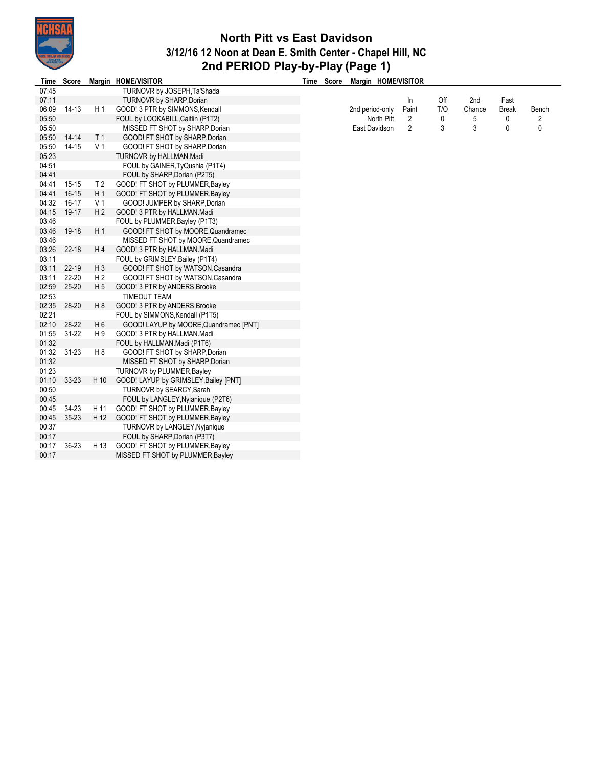

## **North Pitt vs East Davidson 3/12/16 12 Noon at Dean E. Smith Center - Chapel Hill, NC 2nd PERIOD Play-by-Play (Page 1)**

| Time  | <b>Score</b> |                | Margin HOME/VISITOR                    | Time | Score | Margin HOME/VISITOR |            |                |     |        |              |       |
|-------|--------------|----------------|----------------------------------------|------|-------|---------------------|------------|----------------|-----|--------|--------------|-------|
| 07:45 |              |                | TURNOVR by JOSEPH, Ta'Shada            |      |       |                     |            |                |     |        |              |       |
| 07:11 |              |                | <b>TURNOVR by SHARP, Dorian</b>        |      |       |                     |            | In             | Off | 2nd    | Fast         |       |
| 06:09 | $14-13$      | H1             | GOOD! 3 PTR by SIMMONS, Kendall        |      |       | 2nd period-only     |            | Paint          | T/O | Chance | <b>Break</b> | Bench |
| 05:50 |              |                | FOUL by LOOKABILL, Caitlin (P1T2)      |      |       |                     | North Pitt | 2              | 0   | 5      | 0            | 2     |
| 05:50 |              |                | MISSED FT SHOT by SHARP, Dorian        |      |       | East Davidson       |            | $\overline{2}$ | 3   | 3      | 0            | 0     |
| 05:50 | $14 - 14$    | T <sub>1</sub> | GOOD! FT SHOT by SHARP, Dorian         |      |       |                     |            |                |     |        |              |       |
| 05:50 | 14-15        | V <sub>1</sub> | GOOD! FT SHOT by SHARP, Dorian         |      |       |                     |            |                |     |        |              |       |
| 05:23 |              |                | TURNOVR by HALLMAN.Madi                |      |       |                     |            |                |     |        |              |       |
| 04:51 |              |                | FOUL by GAINER, TyQushia (P1T4)        |      |       |                     |            |                |     |        |              |       |
| 04:41 |              |                | FOUL by SHARP, Dorian (P2T5)           |      |       |                     |            |                |     |        |              |       |
| 04:41 | $15-15$      | T <sub>2</sub> | GOOD! FT SHOT by PLUMMER, Bayley       |      |       |                     |            |                |     |        |              |       |
| 04:41 | $16-15$      | H <sub>1</sub> | GOOD! FT SHOT by PLUMMER, Bayley       |      |       |                     |            |                |     |        |              |       |
| 04:32 | 16-17        | V <sub>1</sub> | GOOD! JUMPER by SHARP, Dorian          |      |       |                     |            |                |     |        |              |       |
| 04:15 | 19-17        | H <sub>2</sub> | GOOD! 3 PTR by HALLMAN.Madi            |      |       |                     |            |                |     |        |              |       |
| 03:46 |              |                | FOUL by PLUMMER, Bayley (P1T3)         |      |       |                     |            |                |     |        |              |       |
| 03:46 | 19-18        | H <sub>1</sub> | GOOD! FT SHOT by MOORE, Quandramec     |      |       |                     |            |                |     |        |              |       |
| 03:46 |              |                | MISSED FT SHOT by MOORE, Quandramec    |      |       |                     |            |                |     |        |              |       |
| 03:26 | $22 - 18$    | H4             | GOOD! 3 PTR by HALLMAN.Madi            |      |       |                     |            |                |     |        |              |       |
| 03:11 |              |                | FOUL by GRIMSLEY, Bailey (P1T4)        |      |       |                     |            |                |     |        |              |       |
| 03:11 | $22 - 19$    | H <sub>3</sub> | GOOD! FT SHOT by WATSON, Casandra      |      |       |                     |            |                |     |        |              |       |
| 03:11 | $22 - 20$    | H <sub>2</sub> | GOOD! FT SHOT by WATSON, Casandra      |      |       |                     |            |                |     |        |              |       |
| 02:59 | $25 - 20$    | H <sub>5</sub> | GOOD! 3 PTR by ANDERS, Brooke          |      |       |                     |            |                |     |        |              |       |
| 02:53 |              |                | <b>TIMEOUT TEAM</b>                    |      |       |                     |            |                |     |        |              |       |
| 02:35 | 28-20        | H <sub>8</sub> | GOOD! 3 PTR by ANDERS, Brooke          |      |       |                     |            |                |     |        |              |       |
| 02:21 |              |                | FOUL by SIMMONS, Kendall (P1T5)        |      |       |                     |            |                |     |        |              |       |
| 02:10 | 28-22        | H <sub>6</sub> | GOOD! LAYUP by MOORE, Quandramec [PNT] |      |       |                     |            |                |     |        |              |       |
| 01:55 | $31 - 22$    | H 9            | GOOD! 3 PTR by HALLMAN.Madi            |      |       |                     |            |                |     |        |              |       |
| 01:32 |              |                | FOUL by HALLMAN.Madi (P1T6)            |      |       |                     |            |                |     |        |              |       |
| 01:32 | $31 - 23$    | H8             | GOOD! FT SHOT by SHARP, Dorian         |      |       |                     |            |                |     |        |              |       |
| 01:32 |              |                | MISSED FT SHOT by SHARP, Dorian        |      |       |                     |            |                |     |        |              |       |
| 01:23 |              |                | <b>TURNOVR by PLUMMER, Bayley</b>      |      |       |                     |            |                |     |        |              |       |
| 01:10 | $33 - 23$    | H 10           | GOOD! LAYUP by GRIMSLEY, Bailey [PNT]  |      |       |                     |            |                |     |        |              |       |
| 00:50 |              |                | TURNOVR by SEARCY, Sarah               |      |       |                     |            |                |     |        |              |       |
| 00:45 |              |                | FOUL by LANGLEY, Nyjanique (P2T6)      |      |       |                     |            |                |     |        |              |       |
| 00:45 | 34-23        | H 11           | GOOD! FT SHOT by PLUMMER, Bayley       |      |       |                     |            |                |     |        |              |       |
| 00:45 | $35 - 23$    | H 12           | GOOD! FT SHOT by PLUMMER, Bayley       |      |       |                     |            |                |     |        |              |       |
| 00:37 |              |                | <b>TURNOVR by LANGLEY, Nyjanique</b>   |      |       |                     |            |                |     |        |              |       |
| 00:17 |              |                | FOUL by SHARP, Dorian (P3T7)           |      |       |                     |            |                |     |        |              |       |
| 00:17 | 36-23        | H 13           | GOOD! FT SHOT by PLUMMER, Bayley       |      |       |                     |            |                |     |        |              |       |
| 00:17 |              |                | MISSED FT SHOT by PLUMMER, Bayley      |      |       |                     |            |                |     |        |              |       |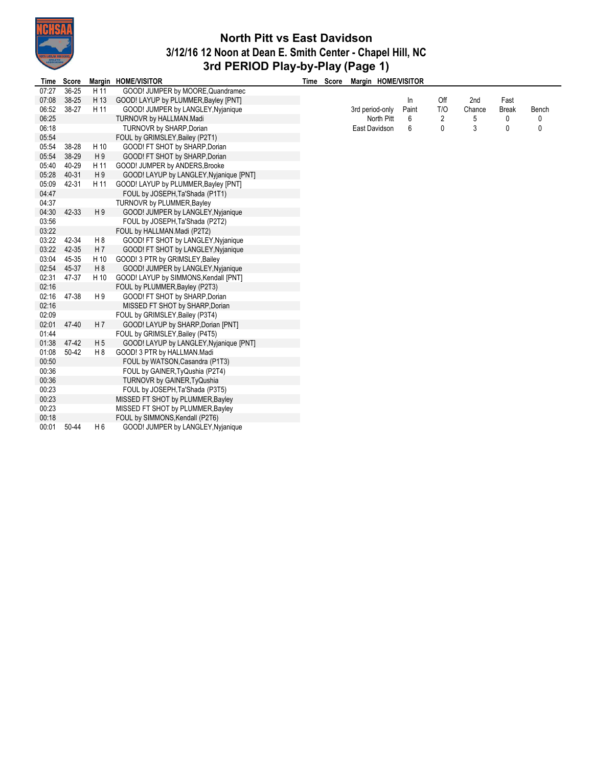

## **North Pitt vs East Davidson 3/12/16 12 Noon at Dean E. Smith Center - Chapel Hill, NC 3rd PERIOD Play-by-Play (Page 1)**

| Time  | <b>Score</b> |                | Margin HOME/VISITOR                     | Time Score | Margin HOME/VISITOR |       |     |        |              |       |
|-------|--------------|----------------|-----------------------------------------|------------|---------------------|-------|-----|--------|--------------|-------|
| 07:27 | $36 - 25$    | H 11           | GOOD! JUMPER by MOORE, Quandramec       |            |                     |       |     |        |              |       |
| 07:08 | $38 - 25$    | H 13           | GOOD! LAYUP by PLUMMER, Bayley [PNT]    |            |                     | In    | Off | 2nd    | Fast         |       |
| 06:52 | 38-27        | H 11           | GOOD! JUMPER by LANGLEY, Nyjanique      |            | 3rd period-only     | Paint | T/O | Chance | <b>Break</b> | Bench |
| 06:25 |              |                | TURNOVR by HALLMAN.Madi                 |            | North Pitt          | 6     | 2   | 5      | 0            | 0     |
| 06:18 |              |                | TURNOVR by SHARP, Dorian                |            | East Davidson       | 6     | 0   | 3      | 0            | 0     |
| 05:54 |              |                | FOUL by GRIMSLEY, Bailey (P2T1)         |            |                     |       |     |        |              |       |
| 05:54 | 38-28        | H 10           | GOOD! FT SHOT by SHARP, Dorian          |            |                     |       |     |        |              |       |
| 05:54 | 38-29        | H9             | GOOD! FT SHOT by SHARP, Dorian          |            |                     |       |     |        |              |       |
| 05:40 | 40-29        | H 11           | GOOD! JUMPER by ANDERS, Brooke          |            |                     |       |     |        |              |       |
| 05:28 | 40-31        | H9             | GOOD! LAYUP by LANGLEY, Nyjanique [PNT] |            |                     |       |     |        |              |       |
| 05:09 | 42-31        | H 11           | GOOD! LAYUP by PLUMMER, Bayley [PNT]    |            |                     |       |     |        |              |       |
| 04:47 |              |                | FOUL by JOSEPH, Ta'Shada (P1T1)         |            |                     |       |     |        |              |       |
| 04:37 |              |                | <b>TURNOVR by PLUMMER, Bayley</b>       |            |                     |       |     |        |              |       |
| 04:30 | 42-33        | H9             | GOOD! JUMPER by LANGLEY, Nyjanique      |            |                     |       |     |        |              |       |
| 03:56 |              |                | FOUL by JOSEPH, Ta'Shada (P2T2)         |            |                     |       |     |        |              |       |
| 03:22 |              |                | FOUL by HALLMAN.Madi (P2T2)             |            |                     |       |     |        |              |       |
| 03:22 | 42-34        | H 8            | GOOD! FT SHOT by LANGLEY, Nyjanique     |            |                     |       |     |        |              |       |
| 03:22 | 42-35        | H 7            | GOOD! FT SHOT by LANGLEY, Nyjanique     |            |                     |       |     |        |              |       |
| 03:04 | 45-35        | H 10           | GOOD! 3 PTR by GRIMSLEY, Bailey         |            |                     |       |     |        |              |       |
| 02:54 | 45-37        | H <sub>8</sub> | GOOD! JUMPER by LANGLEY, Nyjanique      |            |                     |       |     |        |              |       |
| 02:31 | 47-37        | H 10           | GOOD! LAYUP by SIMMONS, Kendall [PNT]   |            |                     |       |     |        |              |       |
| 02:16 |              |                | FOUL by PLUMMER, Bayley (P2T3)          |            |                     |       |     |        |              |       |
| 02:16 | 47-38        | H 9            | GOOD! FT SHOT by SHARP, Dorian          |            |                     |       |     |        |              |       |
| 02:16 |              |                | MISSED FT SHOT by SHARP, Dorian         |            |                     |       |     |        |              |       |
| 02:09 |              |                | FOUL by GRIMSLEY, Bailey (P3T4)         |            |                     |       |     |        |              |       |
| 02:01 | 47-40        | H 7            | GOOD! LAYUP by SHARP, Dorian [PNT]      |            |                     |       |     |        |              |       |
| 01:44 |              |                | FOUL by GRIMSLEY, Bailey (P4T5)         |            |                     |       |     |        |              |       |
| 01:38 | 47-42        | H <sub>5</sub> | GOOD! LAYUP by LANGLEY, Nyjanique [PNT] |            |                     |       |     |        |              |       |
| 01:08 | 50-42        | H <sub>8</sub> | GOOD! 3 PTR by HALLMAN.Madi             |            |                     |       |     |        |              |       |
| 00:50 |              |                | FOUL by WATSON, Casandra (P1T3)         |            |                     |       |     |        |              |       |
| 00:36 |              |                | FOUL by GAINER, TyQushia (P2T4)         |            |                     |       |     |        |              |       |
| 00:36 |              |                | TURNOVR by GAINER, TyQushia             |            |                     |       |     |        |              |       |
| 00:23 |              |                | FOUL by JOSEPH, Ta'Shada (P3T5)         |            |                     |       |     |        |              |       |
| 00:23 |              |                | MISSED FT SHOT by PLUMMER, Bayley       |            |                     |       |     |        |              |       |
| 00:23 |              |                | MISSED FT SHOT by PLUMMER, Bayley       |            |                     |       |     |        |              |       |
| 00:18 |              |                | FOUL by SIMMONS, Kendall (P2T6)         |            |                     |       |     |        |              |       |
| 00:01 | 50-44        | H 6            | GOOD! JUMPER by LANGLEY, Nyjanique      |            |                     |       |     |        |              |       |